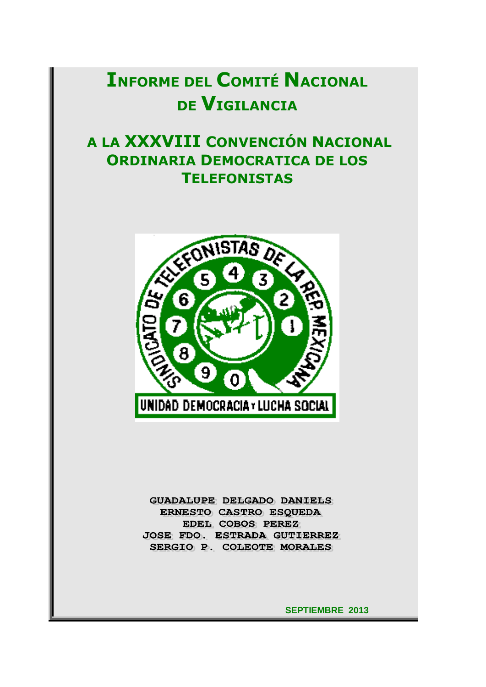# **INFORME DEL COMITÉ NACIONAL DE VIGILANCIA**

## **A LA XXXVIII CONVENCIÓN NACIONAL ORDINARIA DEMOCRATICA DE LOS TELEFONISTAS**



**GUADALUPE DELGADO DANIELS** ERNESTO CASTRO ESQUEDA EDEL COBOS PEREZ **JOSE FDO. ESTRADA GUTIERREZ** SERGIO P. COLEOTE MORALES

 **SEPTIEMBRE 2013**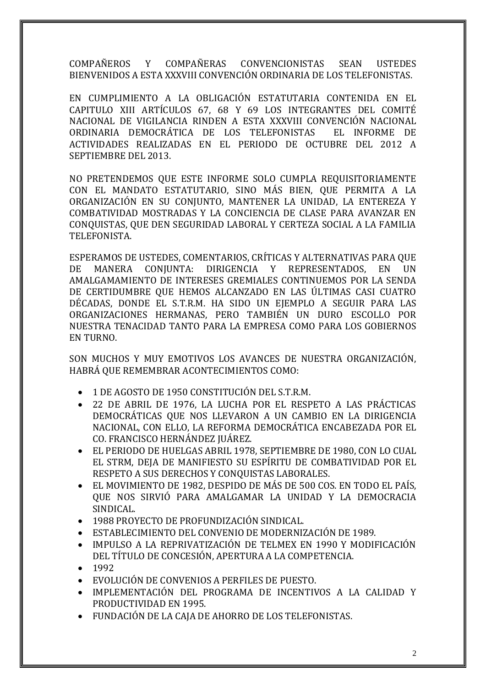COMPAÑEROS Y COMPAÑERAS CONVENCIONISTAS SEAN USTEDES BIENVENIDOS A ESTA XXXVIII CONVENCIÓN ORDINARIA DE LOS TELEFONISTAS.

EN CUMPLIMIENTO A LA OBLIGACIÓN ESTATUTARIA CONTENIDA EN EL CAPITULO XIII ARTÍCULOS 67, 68 Y 69 LOS INTEGRANTES DEL COMITÉ NACIONAL DE VIGILANCIA RINDEN A ESTA XXXVIII CONVENCIÓN NACIONAL ORDINARIA DEMOCRÁTICA DE LOS TELEFONISTAS EL INFORME DE ACTIVIDADES REALIZADAS EN EL PERIODO DE OCTUBRE DEL 2012 A SEPTIEMBRE DEL 2013.

NO PRETENDEMOS QUE ESTE INFORME SOLO CUMPLA REQUISITORIAMENTE CON EL MANDATO ESTATUTARIO, SINO MÁS BIEN, QUE PERMITA A LA ORGANIZACIÓN EN SU CONJUNTO, MANTENER LA UNIDAD, LA ENTEREZA Y COMBATIVIDAD MOSTRADAS Y LA CONCIENCIA DE CLASE PARA AVANZAR EN CONQUISTAS, QUE DEN SEGURIDAD LABORAL Y CERTEZA SOCIAL A LA FAMILIA TELEFONISTA.

ESPERAMOS DE USTEDES, COMENTARIOS, CRÍTICAS Y ALTERNATIVAS PARA QUE DE MANERA CONJUNTA: DIRIGENCIA Y REPRESENTADOS, EN UN AMALGAMAMIENTO DE INTERESES GREMIALES CONTINUEMOS POR LA SENDA DE CERTIDUMBRE QUE HEMOS ALCANZADO EN LAS ÚLTIMAS CASI CUATRO DÉCADAS, DONDE EL S.T.R.M. HA SIDO UN EJEMPLO A SEGUIR PARA LAS ORGANIZACIONES HERMANAS, PERO TAMBIÉN UN DURO ESCOLLO POR NUESTRA TENACIDAD TANTO PARA LA EMPRESA COMO PARA LOS GOBIERNOS EN TURNO.

SON MUCHOS Y MUY EMOTIVOS LOS AVANCES DE NUESTRA ORGANIZACIÓN, HABRÁ QUE REMEMBRAR ACONTECIMIENTOS COMO:

- 1 DE AGOSTO DE 1950 CONSTITUCIÓN DEL S.T.R.M.
- 22 DE ABRIL DE 1976, LA LUCHA POR EL RESPETO A LAS PRÁCTICAS DEMOCRÁTICAS QUE NOS LLEVARON A UN CAMBIO EN LA DIRIGENCIA NACIONAL, CON ELLO, LA REFORMA DEMOCRÁTICA ENCABEZADA POR EL CO. FRANCISCO HERNÁNDEZ JUÁREZ.
- EL PERIODO DE HUELGAS ABRIL 1978, SEPTIEMBRE DE 1980, CON LO CUAL EL STRM, DEJA DE MANIFIESTO SU ESPÍRITU DE COMBATIVIDAD POR EL RESPETO A SUS DERECHOS Y CONQUISTAS LABORALES.
- EL MOVIMIENTO DE 1982, DESPIDO DE MÁS DE 500 COS. EN TODO EL PAÍS, QUE NOS SIRVIÓ PARA AMALGAMAR LA UNIDAD Y LA DEMOCRACIA SINDICAL.
- 1988 PROYECTO DE PROFUNDIZACIÓN SINDICAL.
- ESTABLECIMIENTO DEL CONVENIO DE MODERNIZACIÓN DE 1989.
- IMPULSO A LA REPRIVATIZACIÓN DE TELMEX EN 1990 Y MODIFICACIÓN DEL TÍTULO DE CONCESIÓN, APERTURA A LA COMPETENCIA.
- 1992
- EVOLUCIÓN DE CONVENIOS A PERFILES DE PUESTO.
- IMPLEMENTACIÓN DEL PROGRAMA DE INCENTIVOS A LA CALIDAD Y PRODUCTIVIDAD EN 1995.
- FUNDACIÓN DE LA CAJA DE AHORRO DE LOS TELEFONISTAS.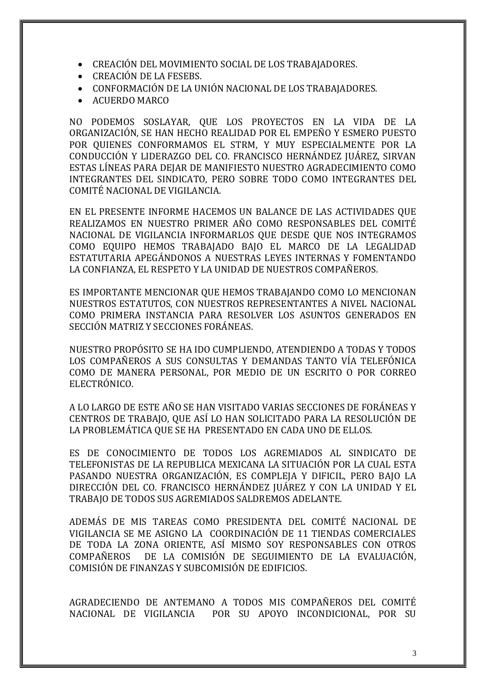- CREACIÓN DEL MOVIMIENTO SOCIAL DE LOS TRABAJADORES.
- CREACIÓN DE LA FESEBS.
- CONFORMACIÓN DE LA UNIÓN NACIONAL DE LOS TRABAJADORES.
- ACUERDO MARCO

NO PODEMOS SOSLAYAR, QUE LOS PROYECTOS EN LA VIDA DE LA ORGANIZACIÓN, SE HAN HECHO REALIDAD POR EL EMPEÑO Y ESMERO PUESTO POR QUIENES CONFORMAMOS EL STRM, Y MUY ESPECIALMENTE POR LA CONDUCCIÓN Y LIDERAZGO DEL CO. FRANCISCO HERNÁNDEZ JUÁREZ, SIRVAN ESTAS LÍNEAS PARA DEJAR DE MANIFIESTO NUESTRO AGRADECIMIENTO COMO INTEGRANTES DEL SINDICATO, PERO SOBRE TODO COMO INTEGRANTES DEL COMITÉ NACIONAL DE VIGILANCIA.

EN EL PRESENTE INFORME HACEMOS UN BALANCE DE LAS ACTIVIDADES QUE REALIZAMOS EN NUESTRO PRIMER AÑO COMO RESPONSABLES DEL COMITÉ NACIONAL DE VIGILANCIA INFORMARLOS QUE DESDE QUE NOS INTEGRAMOS COMO EQUIPO HEMOS TRABAJADO BAJO EL MARCO DE LA LEGALIDAD ESTATUTARIA APEGÁNDONOS A NUESTRAS LEYES INTERNAS Y FOMENTANDO LA CONFIANZA, EL RESPETO Y LA UNIDAD DE NUESTROS COMPAÑEROS.

ES IMPORTANTE MENCIONAR QUE HEMOS TRABAJANDO COMO LO MENCIONAN NUESTROS ESTATUTOS, CON NUESTROS REPRESENTANTES A NIVEL NACIONAL COMO PRIMERA INSTANCIA PARA RESOLVER LOS ASUNTOS GENERADOS EN SECCIÓN MATRIZ Y SECCIONES FORÁNEAS.

NUESTRO PROPÓSITO SE HA IDO CUMPLIENDO, ATENDIENDO A TODAS Y TODOS LOS COMPAÑEROS A SUS CONSULTAS Y DEMANDAS TANTO VÍA TELEFÓNICA COMO DE MANERA PERSONAL, POR MEDIO DE UN ESCRITO O POR CORREO ELECTRÓNICO.

A LO LARGO DE ESTE AÑO SE HAN VISITADO VARIAS SECCIONES DE FORÁNEAS Y CENTROS DE TRABAJO, QUE ASÍ LO HAN SOLICITADO PARA LA RESOLUCIÓN DE LA PROBLEMÁTICA QUE SE HA PRESENTADO EN CADA UNO DE ELLOS.

ES DE CONOCIMIENTO DE TODOS LOS AGREMIADOS AL SINDICATO DE TELEFONISTAS DE LA REPUBLICA MEXICANA LA SITUACIÓN POR LA CUAL ESTA PASANDO NUESTRA ORGANIZACIÓN, ES COMPLEJA Y DIFICIL, PERO BAJO LA DIRECCIÓN DEL CO. FRANCISCO HERNÁNDEZ JUÁREZ Y CON LA UNIDAD Y EL TRABAJO DE TODOS SUS AGREMIADOS SALDREMOS ADELANTE.

ADEMÁS DE MIS TAREAS COMO PRESIDENTA DEL COMITÉ NACIONAL DE VIGILANCIA SE ME ASIGNO LA COORDINACIÓN DE 11 TIENDAS COMERCIALES DE TODA LA ZONA ORIENTE, ASÍ MISMO SOY RESPONSABLES CON OTROS COMPAÑEROS DE LA COMISIÓN DE SEGUIMIENTO DE LA EVALUACIÓN, COMISIÓN DE FINANZAS Y SUBCOMISIÓN DE EDIFICIOS.

AGRADECIENDO DE ANTEMANO A TODOS MIS COMPAÑEROS DEL COMITÉ NACIONAL DE VIGILANCIA POR SU APOYO INCONDICIONAL, POR SU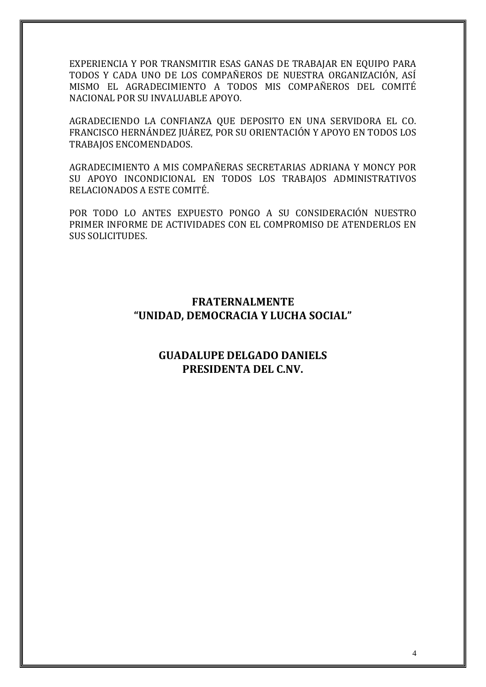EXPERIENCIA Y POR TRANSMITIR ESAS GANAS DE TRABAJAR EN EQUIPO PARA TODOS Y CADA UNO DE LOS COMPAÑEROS DE NUESTRA ORGANIZACIÓN, ASÍ MISMO EL AGRADECIMIENTO A TODOS MIS COMPAÑEROS DEL COMITÉ NACIONAL POR SU INVALUABLE APOYO.

AGRADECIENDO LA CONFIANZA QUE DEPOSITO EN UNA SERVIDORA EL CO. FRANCISCO HERNÁNDEZ JUÁREZ, POR SU ORIENTACIÓN Y APOYO EN TODOS LOS TRABAJOS ENCOMENDADOS.

AGRADECIMIENTO A MIS COMPAÑERAS SECRETARIAS ADRIANA Y MONCY POR SU APOYO INCONDICIONAL EN TODOS LOS TRABAJOS ADMINISTRATIVOS RELACIONADOS A ESTE COMITÉ.

POR TODO LO ANTES EXPUESTO PONGO A SU CONSIDERACIÓN NUESTRO PRIMER INFORME DE ACTIVIDADES CON EL COMPROMISO DE ATENDERLOS EN SUS SOLICITUDES.

#### **FRATERNALMENTE "UNIDAD, DEMOCRACIA Y LUCHA SOCIAL"**

#### **GUADALUPE DELGADO DANIELS PRESIDENTA DEL C.NV.**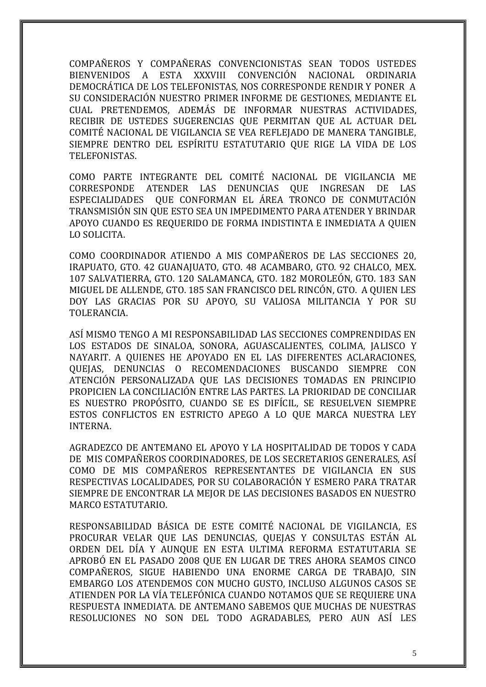COMPAÑEROS Y COMPAÑERAS CONVENCIONISTAS SEAN TODOS USTEDES BIENVENIDOS A ESTA XXXVIII CONVENCIÓN NACIONAL ORDINARIA DEMOCRÁTICA DE LOS TELEFONISTAS, NOS CORRESPONDE RENDIR Y PONER A SU CONSIDERACIÓN NUESTRO PRIMER INFORME DE GESTIONES, MEDIANTE EL CUAL PRETENDEMOS, ADEMÁS DE INFORMAR NUESTRAS ACTIVIDADES, RECIBIR DE USTEDES SUGERENCIAS QUE PERMITAN QUE AL ACTUAR DEL COMITÉ NACIONAL DE VIGILANCIA SE VEA REFLEJADO DE MANERA TANGIBLE, SIEMPRE DENTRO DEL ESPÍRITU ESTATUTARIO QUE RIGE LA VIDA DE LOS TELEFONISTAS.

COMO PARTE INTEGRANTE DEL COMITÉ NACIONAL DE VIGILANCIA ME CORRESPONDE ATENDER LAS DENUNCIAS QUE INGRESAN DE LAS ESPECIALIDADES QUE CONFORMAN EL ÁREA TRONCO DE CONMUTACIÓN TRANSMISIÓN SIN QUE ESTO SEA UN IMPEDIMENTO PARA ATENDER Y BRINDAR APOYO CUANDO ES REQUERIDO DE FORMA INDISTINTA E INMEDIATA A QUIEN LO SOLICITA.

COMO COORDINADOR ATIENDO A MIS COMPAÑEROS DE LAS SECCIONES 20, IRAPUATO, GTO. 42 GUANAJUATO, GTO. 48 ACAMBARO, GTO. 92 CHALCO, MEX. 107 SALVATIERRA, GTO. 120 SALAMANCA, GTO. 182 MOROLEÓN, GTO. 183 SAN MIGUEL DE ALLENDE, GTO. 185 SAN FRANCISCO DEL RINCÓN, GTO. A QUIEN LES DOY LAS GRACIAS POR SU APOYO, SU VALIOSA MILITANCIA Y POR SU TOLERANCIA.

ASÍ MISMO TENGO A MI RESPONSABILIDAD LAS SECCIONES COMPRENDIDAS EN LOS ESTADOS DE SINALOA, SONORA, AGUASCALIENTES, COLIMA, JALISCO Y NAYARIT. A QUIENES HE APOYADO EN EL LAS DIFERENTES ACLARACIONES, QUEJAS, DENUNCIAS O RECOMENDACIONES BUSCANDO SIEMPRE CON ATENCIÓN PERSONALIZADA QUE LAS DECISIONES TOMADAS EN PRINCIPIO PROPICIEN LA CONCILIACIÓN ENTRE LAS PARTES. LA PRIORIDAD DE CONCILIAR ES NUESTRO PROPÓSITO, CUANDO SE ES DIFÍCIL, SE RESUELVEN SIEMPRE ESTOS CONFLICTOS EN ESTRICTO APEGO A LO QUE MARCA NUESTRA LEY INTERNA.

AGRADEZCO DE ANTEMANO EL APOYO Y LA HOSPITALIDAD DE TODOS Y CADA DE MIS COMPAÑEROS COORDINADORES, DE LOS SECRETARIOS GENERALES, ASÍ COMO DE MIS COMPAÑEROS REPRESENTANTES DE VIGILANCIA EN SUS RESPECTIVAS LOCALIDADES, POR SU COLABORACIÓN Y ESMERO PARA TRATAR SIEMPRE DE ENCONTRAR LA MEJOR DE LAS DECISIONES BASADOS EN NUESTRO MARCO ESTATUTARIO.

RESPONSABILIDAD BÁSICA DE ESTE COMITÉ NACIONAL DE VIGILANCIA, ES PROCURAR VELAR QUE LAS DENUNCIAS, QUEJAS Y CONSULTAS ESTÁN AL ORDEN DEL DÍA Y AUNQUE EN ESTA ULTIMA REFORMA ESTATUTARIA SE APROBÓ EN EL PASADO 2008 QUE EN LUGAR DE TRES AHORA SEAMOS CINCO COMPAÑEROS, SIGUE HABIENDO UNA ENORME CARGA DE TRABAJO, SIN EMBARGO LOS ATENDEMOS CON MUCHO GUSTO, INCLUSO ALGUNOS CASOS SE ATIENDEN POR LA VÍA TELEFÓNICA CUANDO NOTAMOS QUE SE REQUIERE UNA RESPUESTA INMEDIATA. DE ANTEMANO SABEMOS QUE MUCHAS DE NUESTRAS RESOLUCIONES NO SON DEL TODO AGRADABLES, PERO AUN ASÍ LES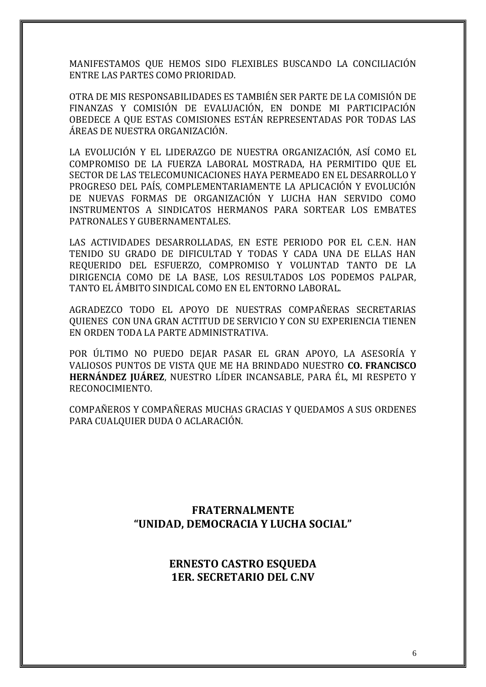MANIFESTAMOS QUE HEMOS SIDO FLEXIBLES BUSCANDO LA CONCILIACIÓN ENTRE LAS PARTES COMO PRIORIDAD.

OTRA DE MIS RESPONSABILIDADES ES TAMBIÉN SER PARTE DE LA COMISIÓN DE FINANZAS Y COMISIÓN DE EVALUACIÓN, EN DONDE MI PARTICIPACIÓN OBEDECE A QUE ESTAS COMISIONES ESTÁN REPRESENTADAS POR TODAS LAS ÁREAS DE NUESTRA ORGANIZACIÓN.

LA EVOLUCIÓN Y EL LIDERAZGO DE NUESTRA ORGANIZACIÓN, ASÍ COMO EL COMPROMISO DE LA FUERZA LABORAL MOSTRADA, HA PERMITIDO QUE EL SECTOR DE LAS TELECOMUNICACIONES HAYA PERMEADO EN EL DESARROLLO Y PROGRESO DEL PAÍS, COMPLEMENTARIAMENTE LA APLICACIÓN Y EVOLUCIÓN DE NUEVAS FORMAS DE ORGANIZACIÓN Y LUCHA HAN SERVIDO COMO INSTRUMENTOS A SINDICATOS HERMANOS PARA SORTEAR LOS EMBATES PATRONALES Y GUBERNAMENTALES.

LAS ACTIVIDADES DESARROLLADAS, EN ESTE PERIODO POR EL C.E.N. HAN TENIDO SU GRADO DE DIFICULTAD Y TODAS Y CADA UNA DE ELLAS HAN REQUERIDO DEL ESFUERZO, COMPROMISO Y VOLUNTAD TANTO DE LA DIRIGENCIA COMO DE LA BASE, LOS RESULTADOS LOS PODEMOS PALPAR, TANTO EL ÁMBITO SINDICAL COMO EN EL ENTORNO LABORAL.

AGRADEZCO TODO EL APOYO DE NUESTRAS COMPAÑERAS SECRETARIAS QUIENES CON UNA GRAN ACTITUD DE SERVICIO Y CON SU EXPERIENCIA TIENEN EN ORDEN TODA LA PARTE ADMINISTRATIVA.

POR ÚLTIMO NO PUEDO DEJAR PASAR EL GRAN APOYO, LA ASESORÍA Y VALIOSOS PUNTOS DE VISTA QUE ME HA BRINDADO NUESTRO **CO. FRANCISCO HERNÁNDEZ JUÁREZ**, NUESTRO LÍDER INCANSABLE, PARA ÉL, MI RESPETO Y RECONOCIMIENTO.

COMPAÑEROS Y COMPAÑERAS MUCHAS GRACIAS Y QUEDAMOS A SUS ORDENES PARA CUALQUIER DUDA O ACLARACIÓN.

#### **FRATERNALMENTE "UNIDAD, DEMOCRACIA Y LUCHA SOCIAL"**

#### **ERNESTO CASTRO ESQUEDA 1ER. SECRETARIO DEL C.NV**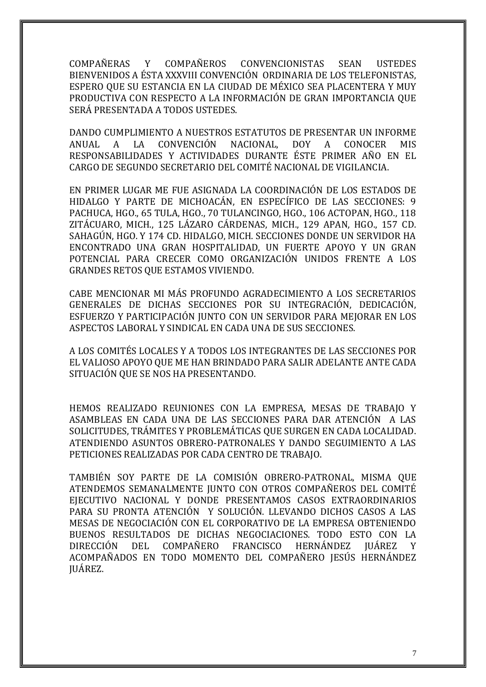COMPAÑERAS Y COMPAÑEROS CONVENCIONISTAS SEAN USTEDES BIENVENIDOS A ÉSTA XXXVIII CONVENCIÓN ORDINARIA DE LOS TELEFONISTAS, ESPERO QUE SU ESTANCIA EN LA CIUDAD DE MÉXICO SEA PLACENTERA Y MUY PRODUCTIVA CON RESPECTO A LA INFORMACIÓN DE GRAN IMPORTANCIA QUE SERÁ PRESENTADA A TODOS USTEDES.

DANDO CUMPLIMIENTO A NUESTROS ESTATUTOS DE PRESENTAR UN INFORME ANUAL A LA CONVENCIÓN NACIONAL, DOY A CONOCER MIS RESPONSABILIDADES Y ACTIVIDADES DURANTE ÉSTE PRIMER AÑO EN EL CARGO DE SEGUNDO SECRETARIO DEL COMITÉ NACIONAL DE VIGILANCIA.

EN PRIMER LUGAR ME FUE ASIGNADA LA COORDINACIÓN DE LOS ESTADOS DE HIDALGO Y PARTE DE MICHOACÁN, EN ESPECÍFICO DE LAS SECCIONES: 9 PACHUCA, HGO., 65 TULA, HGO., 70 TULANCINGO, HGO., 106 ACTOPAN, HGO., 118 ZITÁCUARO, MICH., 125 LÁZARO CÁRDENAS, MICH., 129 APAN, HGO., 157 CD. SAHAGÚN, HGO. Y 174 CD. HIDALGO, MICH. SECCIONES DONDE UN SERVIDOR HA ENCONTRADO UNA GRAN HOSPITALIDAD, UN FUERTE APOYO Y UN GRAN POTENCIAL PARA CRECER COMO ORGANIZACIÓN UNIDOS FRENTE A LOS GRANDES RETOS QUE ESTAMOS VIVIENDO.

CABE MENCIONAR MI MÁS PROFUNDO AGRADECIMIENTO A LOS SECRETARIOS GENERALES DE DICHAS SECCIONES POR SU INTEGRACIÓN, DEDICACIÓN, ESFUERZO Y PARTICIPACIÓN JUNTO CON UN SERVIDOR PARA MEJORAR EN LOS ASPECTOS LABORAL Y SINDICAL EN CADA UNA DE SUS SECCIONES.

A LOS COMITÉS LOCALES Y A TODOS LOS INTEGRANTES DE LAS SECCIONES POR EL VALIOSO APOYO QUE ME HAN BRINDADO PARA SALIR ADELANTE ANTE CADA SITUACIÓN QUE SE NOS HA PRESENTANDO.

HEMOS REALIZADO REUNIONES CON LA EMPRESA, MESAS DE TRABAJO Y ASAMBLEAS EN CADA UNA DE LAS SECCIONES PARA DAR ATENCIÓN A LAS SOLICITUDES, TRÁMITES Y PROBLEMÁTICAS QUE SURGEN EN CADA LOCALIDAD. ATENDIENDO ASUNTOS OBRERO-PATRONALES Y DANDO SEGUIMIENTO A LAS PETICIONES REALIZADAS POR CADA CENTRO DE TRABAJO.

TAMBIÉN SOY PARTE DE LA COMISIÓN OBRERO-PATRONAL, MISMA QUE ATENDEMOS SEMANALMENTE JUNTO CON OTROS COMPAÑEROS DEL COMITÉ EJECUTIVO NACIONAL Y DONDE PRESENTAMOS CASOS EXTRAORDINARIOS PARA SU PRONTA ATENCIÓN Y SOLUCIÓN. LLEVANDO DICHOS CASOS A LAS MESAS DE NEGOCIACIÓN CON EL CORPORATIVO DE LA EMPRESA OBTENIENDO BUENOS RESULTADOS DE DICHAS NEGOCIACIONES. TODO ESTO CON LA DIRECCIÓN DEL COMPAÑERO FRANCISCO HERNÁNDEZ JUÁREZ Y ACOMPAÑADOS EN TODO MOMENTO DEL COMPAÑERO JESÚS HERNÁNDEZ JUÁREZ.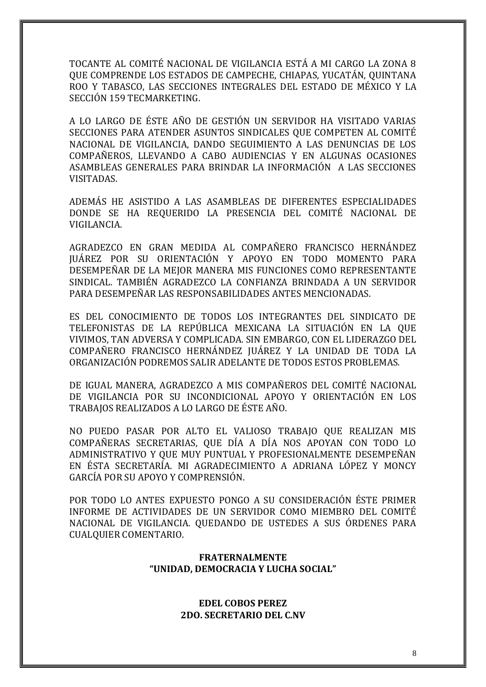TOCANTE AL COMITÉ NACIONAL DE VIGILANCIA ESTÁ A MI CARGO LA ZONA 8 QUE COMPRENDE LOS ESTADOS DE CAMPECHE, CHIAPAS, YUCATÁN, QUINTANA ROO Y TABASCO, LAS SECCIONES INTEGRALES DEL ESTADO DE MÉXICO Y LA SECCIÓN 159 TECMARKETING.

A LO LARGO DE ÉSTE AÑO DE GESTIÓN UN SERVIDOR HA VISITADO VARIAS SECCIONES PARA ATENDER ASUNTOS SINDICALES QUE COMPETEN AL COMITÉ NACIONAL DE VIGILANCIA, DANDO SEGUIMIENTO A LAS DENUNCIAS DE LOS COMPAÑEROS, LLEVANDO A CABO AUDIENCIAS Y EN ALGUNAS OCASIONES ASAMBLEAS GENERALES PARA BRINDAR LA INFORMACIÓN A LAS SECCIONES VISITADAS.

ADEMÁS HE ASISTIDO A LAS ASAMBLEAS DE DIFERENTES ESPECIALIDADES DONDE SE HA REQUERIDO LA PRESENCIA DEL COMITÉ NACIONAL DE VIGILANCIA.

AGRADEZCO EN GRAN MEDIDA AL COMPAÑERO FRANCISCO HERNÁNDEZ JUÁREZ POR SU ORIENTACIÓN Y APOYO EN TODO MOMENTO PARA DESEMPEÑAR DE LA MEJOR MANERA MIS FUNCIONES COMO REPRESENTANTE SINDICAL. TAMBIÉN AGRADEZCO LA CONFIANZA BRINDADA A UN SERVIDOR PARA DESEMPEÑAR LAS RESPONSABILIDADES ANTES MENCIONADAS.

ES DEL CONOCIMIENTO DE TODOS LOS INTEGRANTES DEL SINDICATO DE TELEFONISTAS DE LA REPÚBLICA MEXICANA LA SITUACIÓN EN LA QUE VIVIMOS, TAN ADVERSA Y COMPLICADA. SIN EMBARGO, CON EL LIDERAZGO DEL COMPAÑERO FRANCISCO HERNÁNDEZ JUÁREZ Y LA UNIDAD DE TODA LA ORGANIZACIÓN PODREMOS SALIR ADELANTE DE TODOS ESTOS PROBLEMAS.

DE IGUAL MANERA, AGRADEZCO A MIS COMPAÑEROS DEL COMITÉ NACIONAL DE VIGILANCIA POR SU INCONDICIONAL APOYO Y ORIENTACIÓN EN LOS TRABAJOS REALIZADOS A LO LARGO DE ÉSTE AÑO.

NO PUEDO PASAR POR ALTO EL VALIOSO TRABAJO QUE REALIZAN MIS COMPAÑERAS SECRETARIAS, QUE DÍA A DÍA NOS APOYAN CON TODO LO ADMINISTRATIVO Y QUE MUY PUNTUAL Y PROFESIONALMENTE DESEMPEÑAN EN ÉSTA SECRETARÍA. MI AGRADECIMIENTO A ADRIANA LÓPEZ Y MONCY GARCÍA POR SU APOYO Y COMPRENSIÓN.

POR TODO LO ANTES EXPUESTO PONGO A SU CONSIDERACIÓN ÉSTE PRIMER INFORME DE ACTIVIDADES DE UN SERVIDOR COMO MIEMBRO DEL COMITÉ NACIONAL DE VIGILANCIA. QUEDANDO DE USTEDES A SUS ÓRDENES PARA CUALQUIER COMENTARIO.

#### **FRATERNALMENTE "UNIDAD, DEMOCRACIA Y LUCHA SOCIAL"**

#### **EDEL COBOS PEREZ 2DO. SECRETARIO DEL C.NV**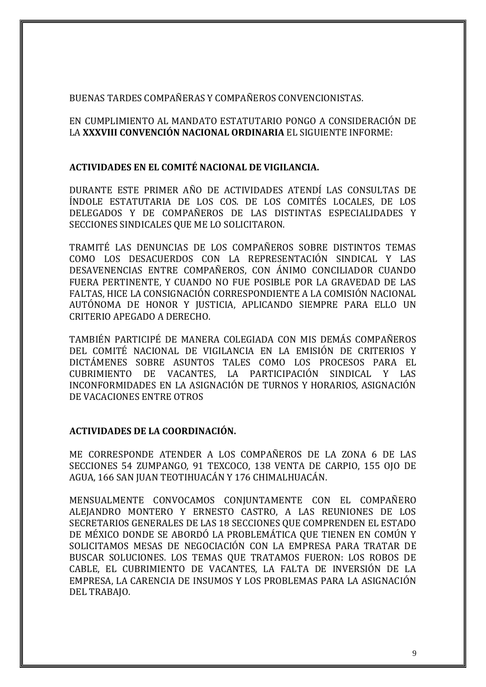#### BUENAS TARDES COMPAÑERAS Y COMPAÑEROS CONVENCIONISTAS.

EN CUMPLIMIENTO AL MANDATO ESTATUTARIO PONGO A CONSIDERACIÓN DE LA **XXXVIII CONVENCIÓN NACIONAL ORDINARIA** EL SIGUIENTE INFORME:

#### **ACTIVIDADES EN EL COMITÉ NACIONAL DE VIGILANCIA.**

DURANTE ESTE PRIMER AÑO DE ACTIVIDADES ATENDÍ LAS CONSULTAS DE ÍNDOLE ESTATUTARIA DE LOS COS. DE LOS COMITÉS LOCALES, DE LOS DELEGADOS Y DE COMPAÑEROS DE LAS DISTINTAS ESPECIALIDADES Y SECCIONES SINDICALES QUE ME LO SOLICITARON.

TRAMITÉ LAS DENUNCIAS DE LOS COMPAÑEROS SOBRE DISTINTOS TEMAS COMO LOS DESACUERDOS CON LA REPRESENTACIÓN SINDICAL Y LAS DESAVENENCIAS ENTRE COMPAÑEROS, CON ÁNIMO CONCILIADOR CUANDO FUERA PERTINENTE, Y CUANDO NO FUE POSIBLE POR LA GRAVEDAD DE LAS FALTAS, HICE LA CONSIGNACIÓN CORRESPONDIENTE A LA COMISIÓN NACIONAL AUTÓNOMA DE HONOR Y JUSTICIA, APLICANDO SIEMPRE PARA ELLO UN CRITERIO APEGADO A DERECHO.

TAMBIÉN PARTICIPÉ DE MANERA COLEGIADA CON MIS DEMÁS COMPAÑEROS DEL COMITÉ NACIONAL DE VIGILANCIA EN LA EMISIÓN DE CRITERIOS Y DICTÁMENES SOBRE ASUNTOS TALES COMO LOS PROCESOS PARA EL CUBRIMIENTO DE VACANTES, LA PARTICIPACIÓN SINDICAL Y LAS INCONFORMIDADES EN LA ASIGNACIÓN DE TURNOS Y HORARIOS, ASIGNACIÓN DE VACACIONES ENTRE OTROS

#### **ACTIVIDADES DE LA COORDINACIÓN.**

ME CORRESPONDE ATENDER A LOS COMPAÑEROS DE LA ZONA 6 DE LAS SECCIONES 54 ZUMPANGO, 91 TEXCOCO, 138 VENTA DE CARPIO, 155 OJO DE AGUA, 166 SAN JUAN TEOTIHUACÁN Y 176 CHIMALHUACÁN.

MENSUALMENTE CONVOCAMOS CONJUNTAMENTE CON EL COMPAÑERO ALEJANDRO MONTERO Y ERNESTO CASTRO, A LAS REUNIONES DE LOS SECRETARIOS GENERALES DE LAS 18 SECCIONES QUE COMPRENDEN EL ESTADO DE MÉXICO DONDE SE ABORDÓ LA PROBLEMÁTICA QUE TIENEN EN COMÚN Y SOLICITAMOS MESAS DE NEGOCIACIÓN CON LA EMPRESA PARA TRATAR DE BUSCAR SOLUCIONES. LOS TEMAS QUE TRATAMOS FUERON: LOS ROBOS DE CABLE, EL CUBRIMIENTO DE VACANTES, LA FALTA DE INVERSIÓN DE LA EMPRESA, LA CARENCIA DE INSUMOS Y LOS PROBLEMAS PARA LA ASIGNACIÓN DEL TRABAJO.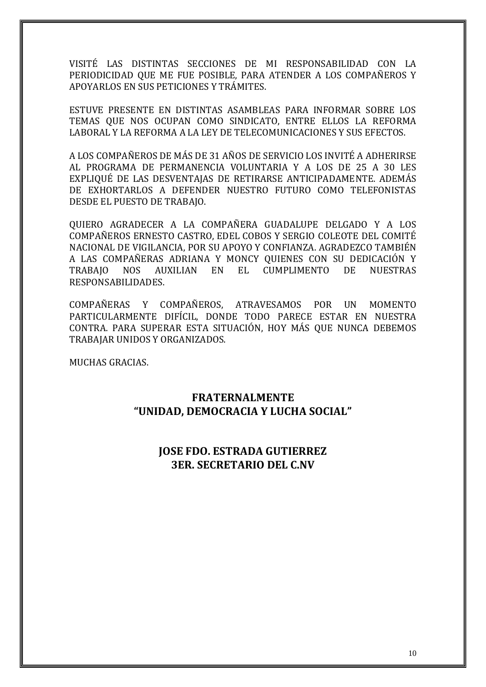VISITÉ LAS DISTINTAS SECCIONES DE MI RESPONSABILIDAD CON LA PERIODICIDAD QUE ME FUE POSIBLE, PARA ATENDER A LOS COMPAÑEROS Y APOYARLOS EN SUS PETICIONES Y TRÁMITES.

ESTUVE PRESENTE EN DISTINTAS ASAMBLEAS PARA INFORMAR SOBRE LOS TEMAS QUE NOS OCUPAN COMO SINDICATO, ENTRE ELLOS LA REFORMA LABORAL Y LA REFORMA A LA LEY DE TELECOMUNICACIONES Y SUS EFECTOS.

A LOS COMPAÑEROS DE MÁS DE 31 AÑOS DE SERVICIO LOS INVITÉ A ADHERIRSE AL PROGRAMA DE PERMANENCIA VOLUNTARIA Y A LOS DE 25 A 30 LES EXPLIQUÉ DE LAS DESVENTAJAS DE RETIRARSE ANTICIPADAMENTE. ADEMÁS DE EXHORTARLOS A DEFENDER NUESTRO FUTURO COMO TELEFONISTAS DESDE EL PUESTO DE TRABAJO.

QUIERO AGRADECER A LA COMPAÑERA GUADALUPE DELGADO Y A LOS COMPAÑEROS ERNESTO CASTRO, EDEL COBOS Y SERGIO COLEOTE DEL COMITÉ NACIONAL DE VIGILANCIA, POR SU APOYO Y CONFIANZA. AGRADEZCO TAMBIÉN A LAS COMPAÑERAS ADRIANA Y MONCY QUIENES CON SU DEDICACIÓN Y TRABAJO NOS AUXILIAN EN EL CUMPLIMENTO DE NUESTRAS RESPONSABILIDADES.

COMPAÑERAS Y COMPAÑEROS, ATRAVESAMOS POR UN MOMENTO PARTICULARMENTE DIFÍCIL, DONDE TODO PARECE ESTAR EN NUESTRA CONTRA. PARA SUPERAR ESTA SITUACIÓN, HOY MÁS QUE NUNCA DEBEMOS TRABAJAR UNIDOS Y ORGANIZADOS.

MUCHAS GRACIAS.

#### **FRATERNALMENTE "UNIDAD, DEMOCRACIA Y LUCHA SOCIAL"**

#### **JOSE FDO. ESTRADA GUTIERREZ 3ER. SECRETARIO DEL C.NV**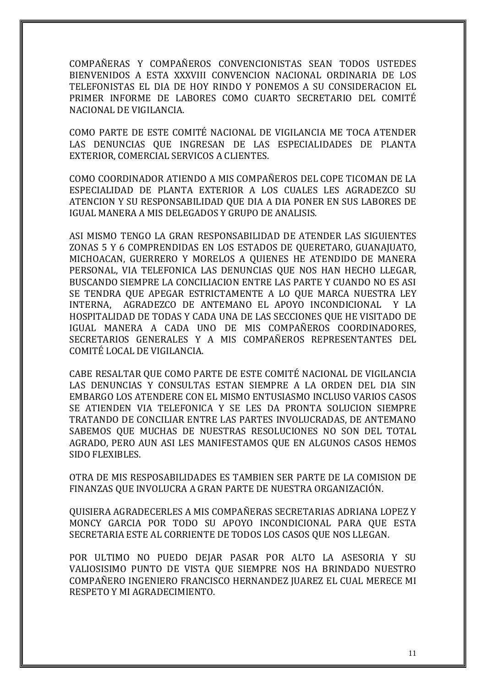COMPAÑERAS Y COMPAÑEROS CONVENCIONISTAS SEAN TODOS USTEDES BIENVENIDOS A ESTA XXXVIII CONVENCION NACIONAL ORDINARIA DE LOS TELEFONISTAS EL DIA DE HOY RINDO Y PONEMOS A SU CONSIDERACION EL PRIMER INFORME DE LABORES COMO CUARTO SECRETARIO DEL COMITÉ NACIONAL DE VIGILANCIA.

COMO PARTE DE ESTE COMITÉ NACIONAL DE VIGILANCIA ME TOCA ATENDER LAS DENUNCIAS QUE INGRESAN DE LAS ESPECIALIDADES DE PLANTA EXTERIOR, COMERCIAL SERVICOS A CLIENTES.

COMO COORDINADOR ATIENDO A MIS COMPAÑEROS DEL COPE TICOMAN DE LA ESPECIALIDAD DE PLANTA EXTERIOR A LOS CUALES LES AGRADEZCO SU ATENCION Y SU RESPONSABILIDAD QUE DIA A DIA PONER EN SUS LABORES DE IGUAL MANERA A MIS DELEGADOS Y GRUPO DE ANALISIS.

ASI MISMO TENGO LA GRAN RESPONSABILIDAD DE ATENDER LAS SIGUIENTES ZONAS 5 Y 6 COMPRENDIDAS EN LOS ESTADOS DE QUERETARO, GUANAJUATO, MICHOACAN, GUERRERO Y MORELOS A QUIENES HE ATENDIDO DE MANERA PERSONAL, VIA TELEFONICA LAS DENUNCIAS QUE NOS HAN HECHO LLEGAR, BUSCANDO SIEMPRE LA CONCILIACION ENTRE LAS PARTE Y CUANDO NO ES ASI SE TENDRA QUE APEGAR ESTRICTAMENTE A LO QUE MARCA NUESTRA LEY INTERNA, AGRADEZCO DE ANTEMANO EL APOYO INCONDICIONAL Y LA HOSPITALIDAD DE TODAS Y CADA UNA DE LAS SECCIONES QUE HE VISITADO DE IGUAL MANERA A CADA UNO DE MIS COMPAÑEROS COORDINADORES, SECRETARIOS GENERALES Y A MIS COMPAÑEROS REPRESENTANTES DEL COMITÉ LOCAL DE VIGILANCIA.

CABE RESALTAR QUE COMO PARTE DE ESTE COMITÉ NACIONAL DE VIGILANCIA LAS DENUNCIAS Y CONSULTAS ESTAN SIEMPRE A LA ORDEN DEL DIA SIN EMBARGO LOS ATENDERE CON EL MISMO ENTUSIASMO INCLUSO VARIOS CASOS SE ATIENDEN VIA TELEFONICA Y SE LES DA PRONTA SOLUCION SIEMPRE TRATANDO DE CONCILIAR ENTRE LAS PARTES INVOLUCRADAS, DE ANTEMANO SABEMOS QUE MUCHAS DE NUESTRAS RESOLUCIONES NO SON DEL TOTAL AGRADO, PERO AUN ASI LES MANIFESTAMOS QUE EN ALGUNOS CASOS HEMOS SIDO FLEXIBLES.

OTRA DE MIS RESPOSABILIDADES ES TAMBIEN SER PARTE DE LA COMISION DE FINANZAS QUE INVOLUCRA A GRAN PARTE DE NUESTRA ORGANIZACIÓN.

QUISIERA AGRADECERLES A MIS COMPAÑERAS SECRETARIAS ADRIANA LOPEZ Y MONCY GARCIA POR TODO SU APOYO INCONDICIONAL PARA QUE ESTA SECRETARIA ESTE AL CORRIENTE DE TODOS LOS CASOS QUE NOS LLEGAN.

POR ULTIMO NO PUEDO DEJAR PASAR POR ALTO LA ASESORIA Y SU VALIOSISIMO PUNTO DE VISTA QUE SIEMPRE NOS HA BRINDADO NUESTRO COMPAÑERO INGENIERO FRANCISCO HERNANDEZ JUAREZ EL CUAL MERECE MI RESPETO Y MI AGRADECIMIENTO.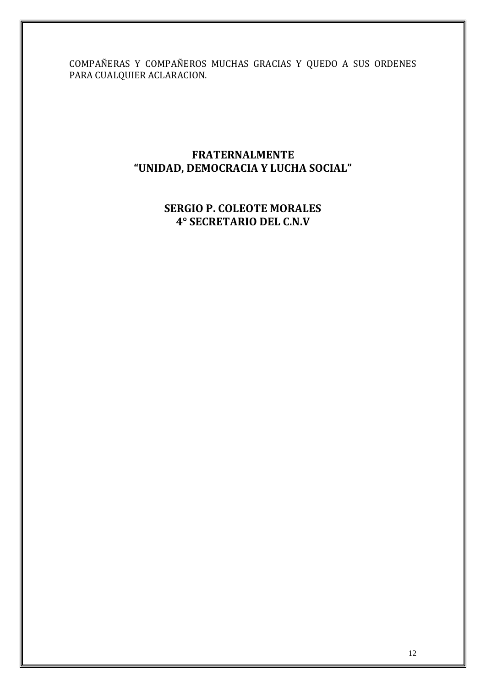COMPAÑERAS Y COMPAÑEROS MUCHAS GRACIAS Y QUEDO A SUS ORDENES PARA CUALQUIER ACLARACION.

#### **FRATERNALMENTE "UNIDAD, DEMOCRACIA Y LUCHA SOCIAL"**

#### **SERGIO P. COLEOTE MORALES 4° SECRETARIO DEL C.N.V**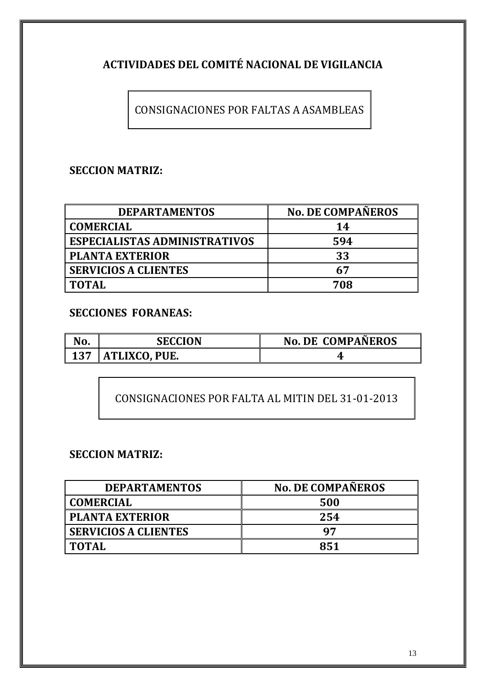## **ACTIVIDADES DEL COMITÉ NACIONAL DE VIGILANCIA**

CONSIGNACIONES POR FALTAS A ASAMBLEAS

#### **SECCION MATRIZ:**

| <b>DEPARTAMENTOS</b>                 | <b>No. DE COMPAÑEROS</b> |
|--------------------------------------|--------------------------|
| <b>COMERCIAL</b>                     | 14                       |
| <b>ESPECIALISTAS ADMINISTRATIVOS</b> | 594                      |
| <b>PLANTA EXTERIOR</b>               | 33                       |
| <b>SERVICIOS A CLIENTES</b>          | 67                       |
| <b>TOTAL</b>                         | 708                      |

#### **SECCIONES FORANEAS:**

| No. | <b>SECCION</b>       | <b>No. DE COMPAÑEROS</b> |
|-----|----------------------|--------------------------|
| 137 | <b>ATLIXCO, PUE.</b> |                          |

CONSIGNACIONES POR FALTA AL MITIN DEL 31-01-2013

#### **SECCION MATRIZ:**

| <b>DEPARTAMENTOS</b>        | <b>No. DE COMPAÑEROS</b> |
|-----------------------------|--------------------------|
| <b>COMERCIAL</b>            | 500                      |
| <b>PLANTA EXTERIOR</b>      | 254                      |
| <b>SERVICIOS A CLIENTES</b> | 97                       |
| <b>TOTAL</b>                | 851                      |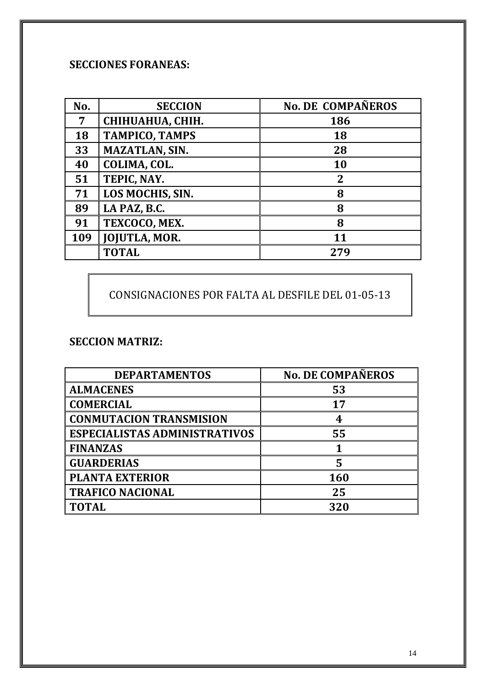## **SECCIONES FORANEAS:**

| No. | <b>SECCION</b>        | <b>No. DE COMPAÑEROS</b> |
|-----|-----------------------|--------------------------|
| 7   | CHIHUAHUA, CHIH.      | 186                      |
| 18  | <b>TAMPICO, TAMPS</b> | <b>18</b>                |
| 33  | <b>MAZATLAN, SIN.</b> | 28                       |
| 40  | COLIMA, COL.          | 10                       |
| 51  | TEPIC, NAY.           | $\overline{2}$           |
| 71  | LOS MOCHIS, SIN.      | 8                        |
| 89  | LA PAZ, B.C.          | 8                        |
| 91  | TEXCOCO, MEX.         | 8                        |
| 109 | <b>JOJUTLA, MOR.</b>  | 11                       |
|     | <b>TOTAL</b>          | 279                      |

CONSIGNACIONES POR FALTA AL DESFILE DEL 01-05-13

#### **SECCION MATRIZ:**

| <b>DEPARTAMENTOS</b>                 | <b>No. DE COMPAÑEROS</b> |
|--------------------------------------|--------------------------|
| <b>ALMACENES</b>                     | 53                       |
| <b>COMERCIAL</b>                     | 17                       |
| <b>CONMUTACION TRANSMISION</b>       | 4                        |
| <b>ESPECIALISTAS ADMINISTRATIVOS</b> | 55                       |
| <b>FINANZAS</b>                      |                          |
| <b>GUARDERIAS</b>                    | 5                        |
| <b>PLANTA EXTERIOR</b>               | <b>160</b>               |
| <b>TRAFICO NACIONAL</b>              | 25                       |
| <b>TOTAL</b>                         | 320                      |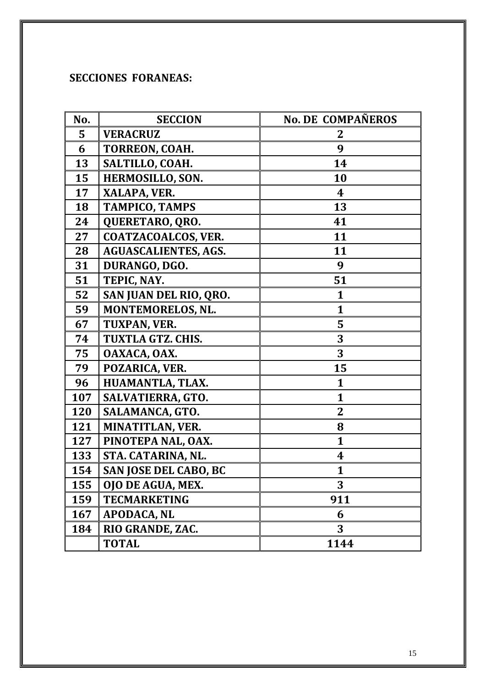## **SECCIONES FORANEAS:**

| No.        | <b>SECCION</b>               | <b>No. DE COMPAÑEROS</b> |
|------------|------------------------------|--------------------------|
| 5          | <b>VERACRUZ</b>              | 2                        |
| 6          | TORREON, COAH.               | 9                        |
| 13         | SALTILLO, COAH.              | 14                       |
| 15         | HERMOSILLO, SON.             | 10                       |
| 17         | XALAPA, VER.                 | 4                        |
| 18         | <b>TAMPICO, TAMPS</b>        | 13                       |
| 24         | QUERETARO, QRO.              | 41                       |
| 27         | <b>COATZACOALCOS, VER.</b>   | 11                       |
| 28         | <b>AGUASCALIENTES, AGS.</b>  | 11                       |
| 31         | DURANGO, DGO.                | 9                        |
| 51         | TEPIC, NAY.                  | 51                       |
| 52         | SAN JUAN DEL RIO, QRO.       | $\mathbf{1}$             |
| 59         | MONTEMORELOS, NL.            | $\mathbf{1}$             |
| 67         | TUXPAN, VER.                 | 5                        |
| 74         | <b>TUXTLA GTZ. CHIS.</b>     | 3                        |
| 75         | OAXACA, OAX.                 | 3                        |
| 79         | POZARICA, VER.               | 15                       |
| 96         | HUAMANTLA, TLAX.             | $\mathbf{1}$             |
| 107        | SALVATIERRA, GTO.            | $\mathbf{1}$             |
| <b>120</b> | SALAMANCA, GTO.              | $\overline{2}$           |
| 121        | MINATITLAN, VER.             | 8                        |
| 127        | PINOTEPA NAL, OAX.           | $\mathbf{1}$             |
| 133        | STA. CATARINA, NL.           | 4                        |
| 154        | <b>SAN JOSE DEL CABO, BC</b> | $\mathbf{1}$             |
| 155        | OJO DE AGUA, MEX.            | 3                        |
| 159        | <b>TECMARKETING</b>          | 911                      |
| 167        | <b>APODACA, NL</b>           | 6                        |
| 184        | RIO GRANDE, ZAC.             | 3                        |
|            | <b>TOTAL</b>                 | 1144                     |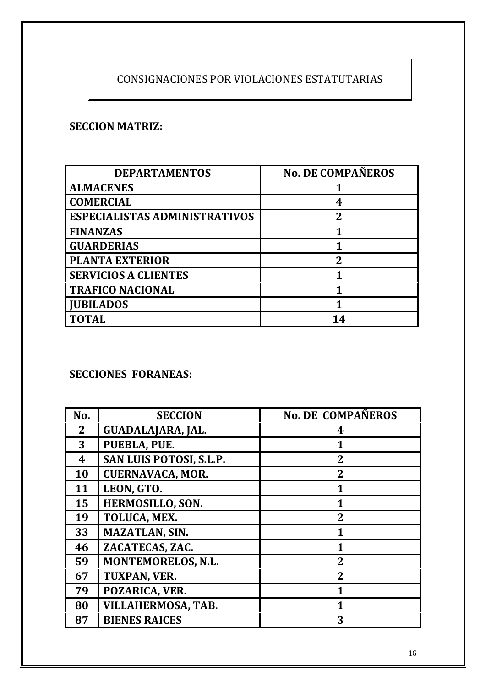## CONSIGNACIONES POR VIOLACIONES ESTATUTARIAS

#### **SECCION MATRIZ:**

| <b>DEPARTAMENTOS</b>                 | <b>No. DE COMPAÑEROS</b> |
|--------------------------------------|--------------------------|
| <b>ALMACENES</b>                     |                          |
| <b>COMERCIAL</b>                     | 4                        |
| <b>ESPECIALISTAS ADMINISTRATIVOS</b> | $\overline{2}$           |
| <b>FINANZAS</b>                      |                          |
| <b>GUARDERIAS</b>                    |                          |
| <b>PLANTA EXTERIOR</b>               | 2                        |
| <b>SERVICIOS A CLIENTES</b>          |                          |
| <b>TRAFICO NACIONAL</b>              |                          |
| <b>JUBILADOS</b>                     |                          |
| <b>TOTAL</b>                         | 14                       |

### **SECCIONES FORANEAS:**

| No.            | <b>SECCION</b>            | <b>No. DE COMPAÑEROS</b> |
|----------------|---------------------------|--------------------------|
| 2 <sub>1</sub> | <b>GUADALAJARA, JAL.</b>  | 4                        |
| 3              | PUEBLA, PUE.              | 1                        |
| 4              | SAN LUIS POTOSI, S.L.P.   | $\overline{2}$           |
| 10             | <b>CUERNAVACA, MOR.</b>   | $\overline{2}$           |
| 11             | LEON, GTO.                | 1                        |
| 15             | HERMOSILLO, SON.          | 1                        |
| 19             | TOLUCA, MEX.              | $\overline{2}$           |
| 33             | <b>MAZATLAN, SIN.</b>     | 1                        |
| 46             | ZACATECAS, ZAC.           | 1                        |
| 59             | <b>MONTEMORELOS, N.L.</b> | $\overline{2}$           |
| 67             | TUXPAN, VER.              | $\overline{2}$           |
| 79             | POZARICA, VER.            | 1                        |
| 80             | VILLAHERMOSA, TAB.        | 1                        |
| 87             | <b>BIENES RAICES</b>      | 3                        |